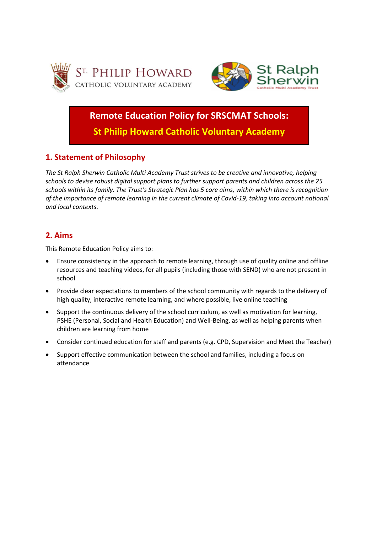



**Remote Education Policy for SRSCMAT Schools:**

**St Philip Howard Catholic Voluntary Academy**

# **1. Statement of Philosophy**

*The St Ralph Sherwin Catholic Multi Academy Trust strives to be creative and innovative, helping schools to devise robust digital support plans to further support parents and children across the 25 schools within its family. The Trust's Strategic Plan has 5 core aims, within which there is recognition of the importance of remote learning in the current climate of Covid-19, taking into account national and local contexts.*

# **2. Aims**

This Remote Education Policy aims to:

- Ensure consistency in the approach to remote learning, through use of quality online and offline resources and teaching videos, for all pupils (including those with SEND) who are not present in school
- Provide clear expectations to members of the school community with regards to the delivery of high quality, interactive remote learning, and where possible, live online teaching
- Support the continuous delivery of the school curriculum, as well as motivation for learning, PSHE (Personal, Social and Health Education) and Well-Being, as well as helping parents when children are learning from home
- Consider continued education for staff and parents (e.g. CPD, Supervision and Meet the Teacher)
- Support effective communication between the school and families, including a focus on attendance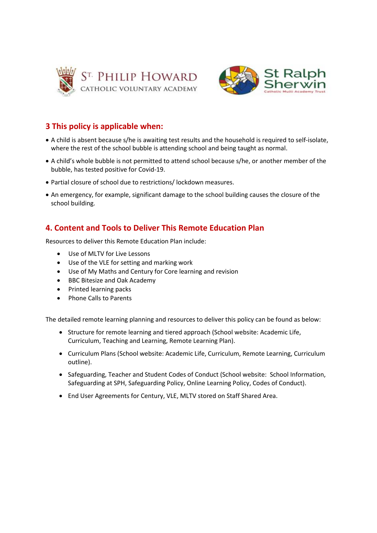



# **3 This policy is applicable when:**

- A child is absent because s/he is awaiting test results and the household is required to self-isolate, where the rest of the school bubble is attending school and being taught as normal.
- A child's whole bubble is not permitted to attend school because s/he, or another member of the bubble, has tested positive for Covid-19.
- Partial closure of school due to restrictions/ lockdown measures.
- An emergency, for example, significant damage to the school building causes the closure of the school building.

# **4. Content and Tools to Deliver This Remote Education Plan**

Resources to deliver this Remote Education Plan include:

- Use of MLTV for Live Lessons
- Use of the VLE for setting and marking work
- Use of My Maths and Century for Core learning and revision
- BBC Bitesize and Oak Academy
- Printed learning packs
- Phone Calls to Parents

The detailed remote learning planning and resources to deliver this policy can be found as below:

- Structure for remote learning and tiered approach (School website: Academic Life, Curriculum, Teaching and Learning, Remote Learning Plan).
- Curriculum Plans (School website: Academic Life, Curriculum, Remote Learning, Curriculum outline).
- Safeguarding, Teacher and Student Codes of Conduct (School website: School Information, Safeguarding at SPH, Safeguarding Policy, Online Learning Policy, Codes of Conduct).
- End User Agreements for Century, VLE, MLTV stored on Staff Shared Area.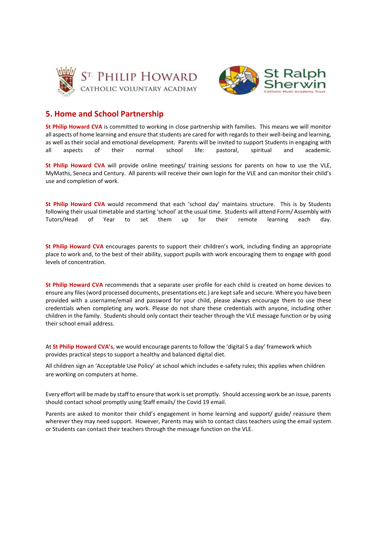



## **5. Home and School Partnership**

**St Philip Howard CVA** is committed to working in close partnership with families. This means we will monitor all aspects of home learning and ensure that students are cared for with regards to their well-being and learning, as well as their social and emotional development. Parents will be invited to support Students in engaging with<br>all aspects of their normal school life: pastoral. spiritual and academic. all aspects of their normal school life: pastoral, spiritual and academic.

**St Philip Howard CVA** will provide online meetings/ training sessions for parents on how to use the VLE, MyMaths, Seneca and Century. All parents will receive their own login for the VLE and can monitor their child's use and completion of work.

**St Philip Howard CVA** would recommend that each 'school day' maintains structure. This is by Students following their usual timetable and starting 'school' at the usual time. Students will attend Form/ Assembly with Tutors/Head of Year to set them up for their remote learning each day.

**St Philip Howard CVA** encourages parents to support their children's work, including finding an appropriate place to work and, to the best of their ability, support pupils with work encouraging them to engage with good levels of concentration.

**St Philip Howard CVA** recommends that a separate user profile for each child is created on home devices to ensure any files (word processed documents, presentations etc.) are kept safe and secure. Where you have been provided with a username/email and password for your child, please always encourage them to use these credentials when completing any work. Please do not share these credentials with anyone, including other children in the family. Students should only contact their teacher through the VLE message function or by using their school email address.

At **St Philip Howard CVA's**, we would encourage parents to follow the 'digital 5 a day' framework which provides practical steps to support a healthy and balanced digital diet.

All children sign an 'Acceptable Use Policy' at school which includes e-safety rules; this applies when children are working on computers at home.

Every effort will be made by staff to ensure that work is set promptly. Should accessing work be an issue, parents should contact school promptly using Staff emails/ the Covid 19 email.

Parents are asked to monitor their child's engagement in home learning and support/ guide/ reassure them wherever they may need support. However, Parents may wish to contact class teachers using the email system or Students can contact their teachers through the message function on the VLE.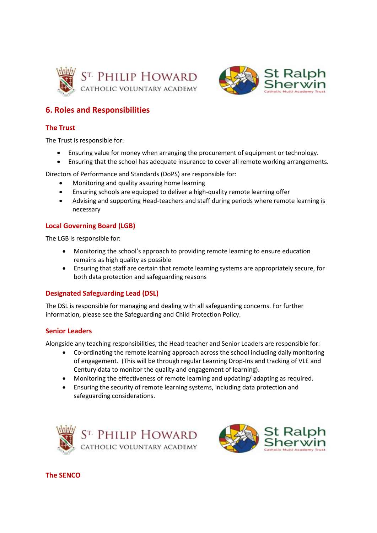



# **6. Roles and Responsibilities**

### **The Trust**

The Trust is responsible for:

- Ensuring value for money when arranging the procurement of equipment or technology.
- Ensuring that the school has adequate insurance to cover all remote working arrangements.

Directors of Performance and Standards (DoPS) are responsible for:

- Monitoring and quality assuring home learning
- Ensuring schools are equipped to deliver a high-quality remote learning offer
- Advising and supporting Head-teachers and staff during periods where remote learning is necessary

### **Local Governing Board (LGB)**

The LGB is responsible for:

- Monitoring the school's approach to providing remote learning to ensure education remains as high quality as possible
- Ensuring that staff are certain that remote learning systems are appropriately secure, for both data protection and safeguarding reasons

### **Designated Safeguarding Lead (DSL)**

The DSL is responsible for managing and dealing with all safeguarding concerns. For further information, please see the Safeguarding and Child Protection Policy.

#### **Senior Leaders**

Alongside any teaching responsibilities, the Head-teacher and Senior Leaders are responsible for:

- Co-ordinating the remote learning approach across the school including daily monitoring of engagement. (This will be through regular Learning Drop-Ins and tracking of VLE and Century data to monitor the quality and engagement of learning).
- Monitoring the effectiveness of remote learning and updating/ adapting as required.
- Ensuring the security of remote learning systems, including data protection and safeguarding considerations.





**The SENCO**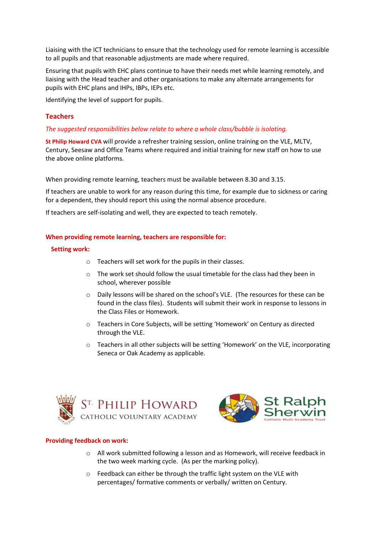Liaising with the ICT technicians to ensure that the technology used for remote learning is accessible to all pupils and that reasonable adjustments are made where required.

Ensuring that pupils with EHC plans continue to have their needs met while learning remotely, and liaising with the Head teacher and other organisations to make any alternate arrangements for pupils with EHC plans and IHPs, IBPs, IEPs etc.

Identifying the level of support for pupils.

### **Teachers**

#### *The suggested responsibilities below relate to where a whole class/bubble is isolating.*

**St Philip Howard CVA** will provide a refresher training session, online training on the VLE, MLTV, Century, Seesaw and Office Teams where required and initial training for new staff on how to use the above online platforms.

When providing remote learning, teachers must be available between 8.30 and 3.15.

If teachers are unable to work for any reason during this time, for example due to sickness or caring for a dependent, they should report this using the normal absence procedure.

If teachers are self-isolating and well, they are expected to teach remotely.

#### **When providing remote learning, teachers are responsible for:**

#### **Setting work:**

- o Teachers will set work for the pupils in their classes.
- $\circ$  The work set should follow the usual timetable for the class had they been in school, wherever possible
- $\circ$  Daily lessons will be shared on the school's VLE. (The resources for these can be found in the class files). Students will submit their work in response to lessons in the Class Files or Homework.
- o Teachers in Core Subjects, will be setting 'Homework' on Century as directed through the VLE.
- $\circ$  Teachers in all other subjects will be setting 'Homework' on the VLE, incorporating Seneca or Oak Academy as applicable.





#### **Providing feedback on work:**

- o All work submitted following a lesson and as Homework, will receive feedback in the two week marking cycle. (As per the marking policy).
- o Feedback can either be through the traffic light system on the VLE with percentages/ formative comments or verbally/ written on Century.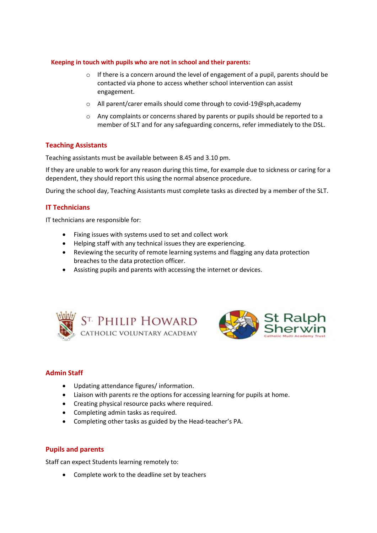#### **Keeping in touch with pupils who are not in school and their parents:**

- $\circ$  If there is a concern around the level of engagement of a pupil, parents should be contacted via phone to access whether school intervention can assist engagement.
- o All parent/carer emails should come through to covid-19@sph,academy
- o Any complaints or concerns shared by parents or pupils should be reported to a member of SLT and for any safeguarding concerns, refer immediately to the DSL.

### **Teaching Assistants**

Teaching assistants must be available between 8.45 and 3.10 pm.

If they are unable to work for any reason during this time, for example due to sickness or caring for a dependent, they should report this using the normal absence procedure.

During the school day, Teaching Assistants must complete tasks as directed by a member of the SLT.

## **IT Technicians**

IT technicians are responsible for:

- Fixing issues with systems used to set and collect work
- Helping staff with any technical issues they are experiencing.
- Reviewing the security of remote learning systems and flagging any data protection breaches to the data protection officer.
- Assisting pupils and parents with accessing the internet or devices.





## **Admin Staff**

- Updating attendance figures/ information.
- Liaison with parents re the options for accessing learning for pupils at home.
- Creating physical resource packs where required.
- Completing admin tasks as required.
- Completing other tasks as guided by the Head-teacher's PA.

### **Pupils and parents**

Staff can expect Students learning remotely to:

• Complete work to the deadline set by teachers